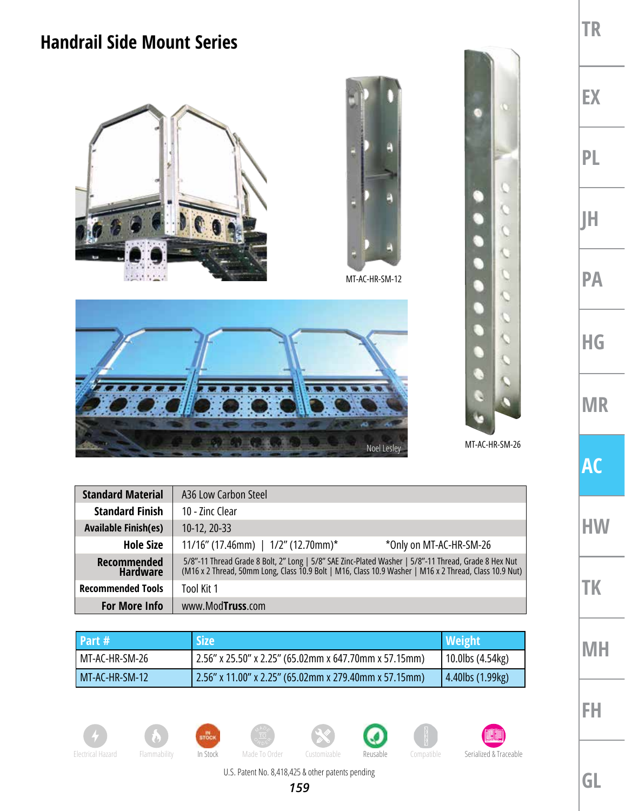## **Handrail Side Mount Series**





MT-AC-HR-SM-12





**TR**

**EX**

**PL**

**JH**

**PA**

**HG**

**MR**

**AC**

**HW**

**TK**

**MH**

**FH**

| <b>Standard Material</b>       | A36 Low Carbon Steel                                                                                                                                                    |  |
|--------------------------------|-------------------------------------------------------------------------------------------------------------------------------------------------------------------------|--|
| <b>Standard Finish</b>         | 10 - Zinc Clear                                                                                                                                                         |  |
| <b>Available Finish(es)</b>    | 10-12, 20-33                                                                                                                                                            |  |
| <b>Hole Size</b>               | 11/16" (17.46mm)   1/2" (12.70mm)*<br>*Only on MT-AC-HR-SM-26                                                                                                           |  |
| Recommended<br><b>Hardware</b> | 5/8"-11 Thread Grade 8 Bolt, 2" Long   5/8" SAE Zinc-Plated Washer   5/8"-11 Thread, Grade 8 Hex Nut (M16 x 2 Thread, 50mm Long, Class 10.9 Bolt   M16, Class 10.9 Nut) |  |
| <b>Recommended Tools</b>       | Tool Kit 1                                                                                                                                                              |  |
| <b>For More Info</b>           | www.ModTruss.com                                                                                                                                                        |  |

| <b>Part #</b>  | <b>Size</b>                                           | <b>Weight</b>    |
|----------------|-------------------------------------------------------|------------------|
| MT-AC-HR-SM-26 | 2.56" x 25.50" x 2.25" (65.02mm x 647.70mm x 57.15mm) | 10.0lbs (4.54kg) |
| MT-AC-HR-SM-12 | 2.56" x 11.00" x 2.25" (65.02mm x 279.40mm x 57.15mm) | 4.40lbs (1.99kg) |

























**GL**